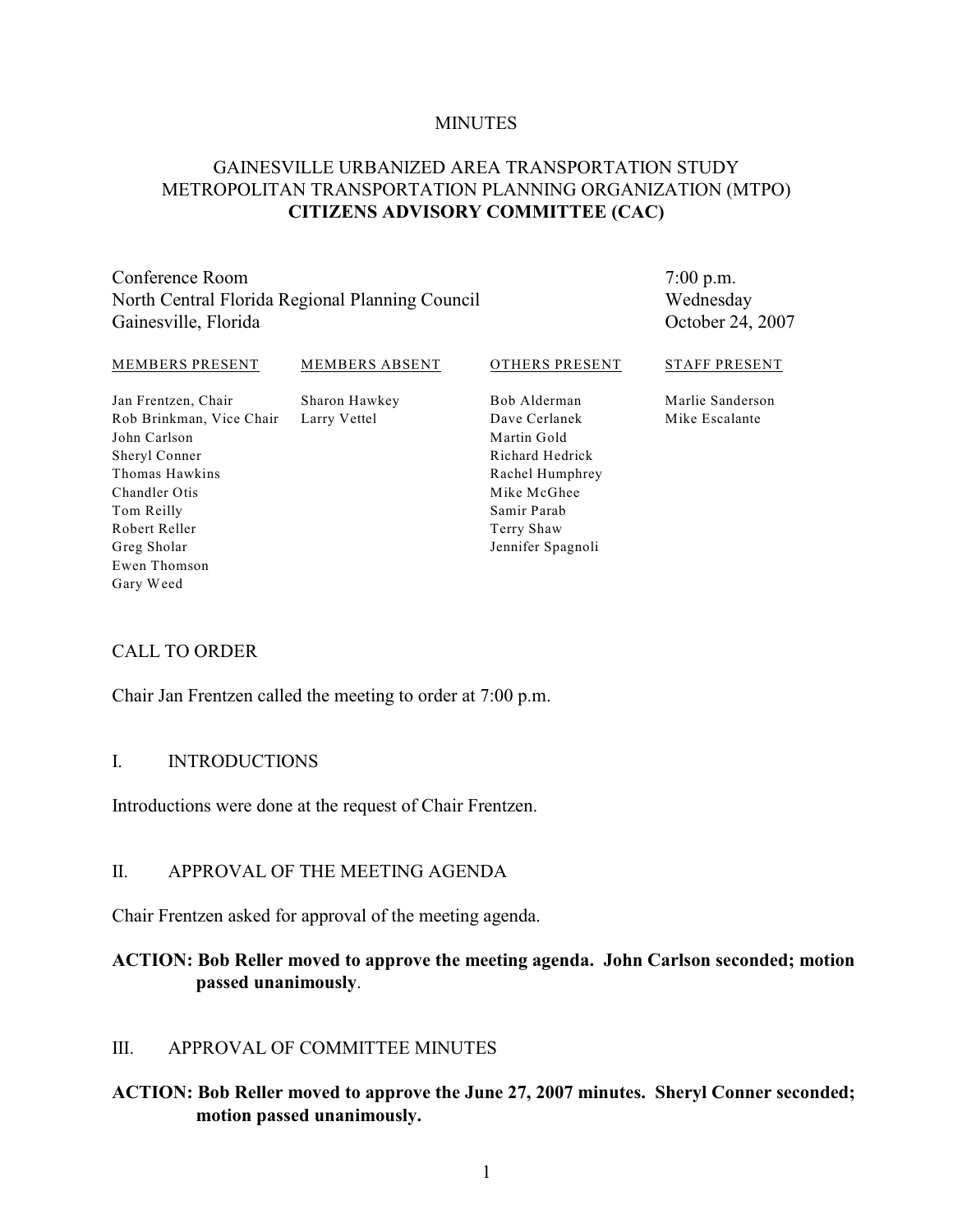#### **MINUTES**

#### GAINESVILLE URBANIZED AREA TRANSPORTATION STUDY METROPOLITAN TRANSPORTATION PLANNING ORGANIZATION (MTPO) **CITIZENS ADVISORY COMMITTEE (CAC)**

Conference Room North Central Florida Regional Planning Council Gainesville, Florida

7:00 p.m. Wednesday October 24, 2007

| MEMBERS PRESENT          | <b>MEMBERS ABSENT</b> | OTHERS PRESENT  | <b>STAFF PRESENT</b> |
|--------------------------|-----------------------|-----------------|----------------------|
| Jan Frentzen, Chair      | Sharon Hawkey         | Bob Alderman    | Marlie Sanderson     |
| Rob Brinkman, Vice Chair | Larry Vettel          | Dave Cerlanek   | Mike Escalante       |
| John Carlson             |                       | Martin Gold     |                      |
| Sheryl Conner            |                       | Richard Hedrick |                      |
| Thomas Hawkins           |                       | Rachel Humphrey |                      |
| Chandler Otis            |                       | Mike McGhee     |                      |
| Tom Reilly               |                       | Samir Parab     |                      |
| Robert Reller            |                       | Terry Shaw      |                      |

Jennifer Spagnoli

#### CALL TO ORDER

Greg Sholar Ewen Thomson Gary Weed

Chair Jan Frentzen called the meeting to order at 7:00 p.m.

#### I. INTRODUCTIONS

Introductions were done at the request of Chair Frentzen.

#### II. APPROVAL OF THE MEETING AGENDA

Chair Frentzen asked for approval of the meeting agenda.

#### **ACTION: Bob Reller moved to approve the meeting agenda. John Carlson seconded; motion passed unanimously**.

#### III. APPROVAL OF COMMITTEE MINUTES

**ACTION: Bob Reller moved to approve the June 27, 2007 minutes. Sheryl Conner seconded; motion passed unanimously.**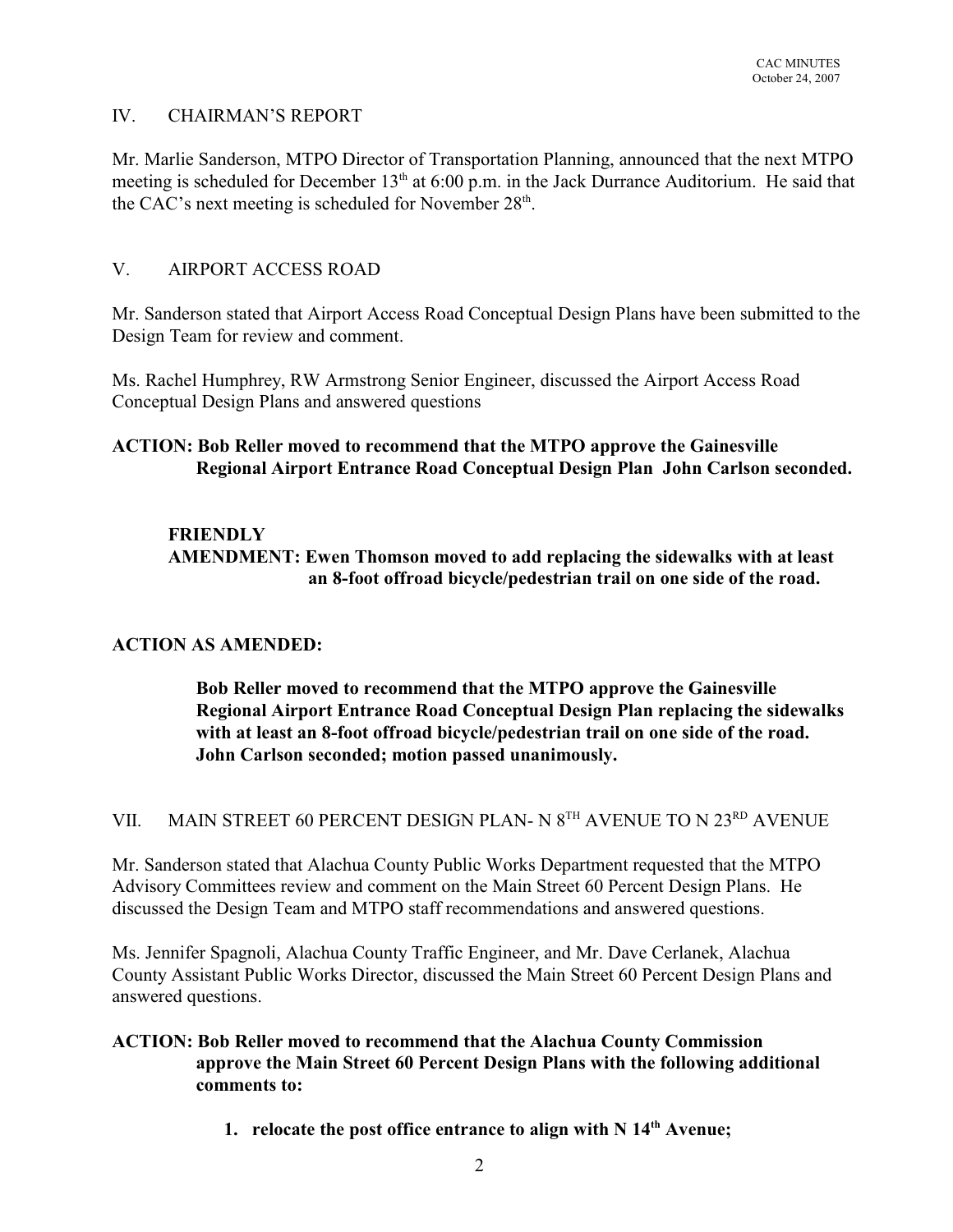### IV. CHAIRMAN'S REPORT

Mr. Marlie Sanderson, MTPO Director of Transportation Planning, announced that the next MTPO meeting is scheduled for December  $13<sup>th</sup>$  at 6:00 p.m. in the Jack Durrance Auditorium. He said that the CAC's next meeting is scheduled for November  $28<sup>th</sup>$ .

#### V. AIRPORT ACCESS ROAD

Mr. Sanderson stated that Airport Access Road Conceptual Design Plans have been submitted to the Design Team for review and comment.

Ms. Rachel Humphrey, RW Armstrong Senior Engineer, discussed the Airport Access Road Conceptual Design Plans and answered questions

### **ACTION: Bob Reller moved to recommend that the MTPO approve the Gainesville Regional Airport Entrance Road Conceptual Design Plan John Carlson seconded.**

## **FRIENDLY**

**AMENDMENT: Ewen Thomson moved to add replacing the sidewalks with at least an 8-foot offroad bicycle/pedestrian trail on one side of the road.**

#### **ACTION AS AMENDED:**

**Bob Reller moved to recommend that the MTPO approve the Gainesville Regional Airport Entrance Road Conceptual Design Plan replacing the sidewalks with at least an 8-foot offroad bicycle/pedestrian trail on one side of the road. John Carlson seconded; motion passed unanimously.**

VII. MAIN STREET 60 PERCENT DESIGN PLAN- N  $8^{TH}$  AVENUE TO N  $23^{RD}$  AVENUE

Mr. Sanderson stated that Alachua County Public Works Department requested that the MTPO Advisory Committees review and comment on the Main Street 60 Percent Design Plans. He discussed the Design Team and MTPO staff recommendations and answered questions.

Ms. Jennifer Spagnoli, Alachua County Traffic Engineer, and Mr. Dave Cerlanek, Alachua County Assistant Public Works Director, discussed the Main Street 60 Percent Design Plans and answered questions.

#### **ACTION: Bob Reller moved to recommend that the Alachua County Commission approve the Main Street 60 Percent Design Plans with the following additional comments to:**

**1. relocate the post office entrance to align with**  $N 14<sup>th</sup>$  **Avenue;**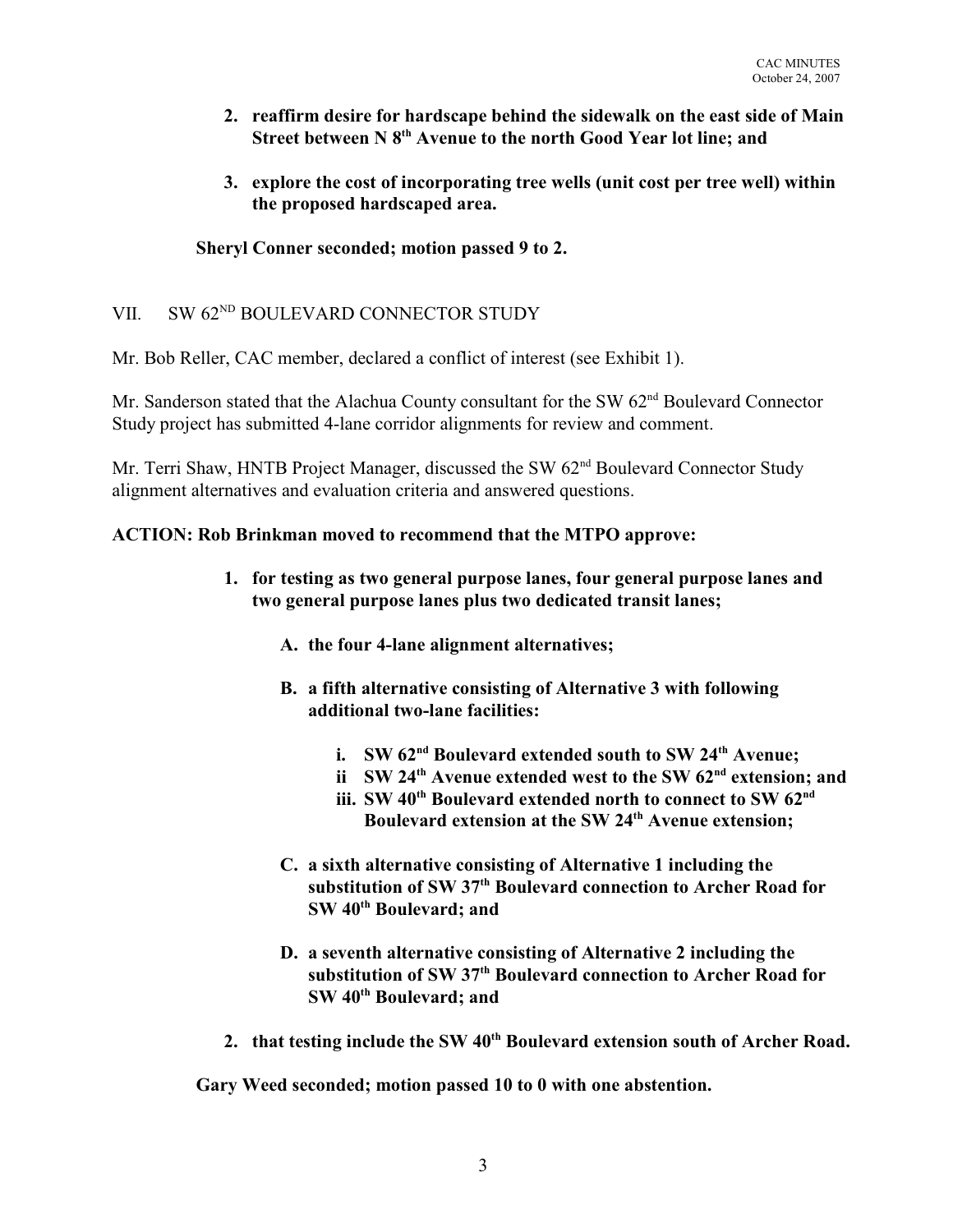- **2. reaffirm desire for hardscape behind the sidewalk on the east side of Main Street between N 8<sup>th</sup> Avenue to the north Good Year lot line; and**
- **3. explore the cost of incorporating tree wells (unit cost per tree well) within the proposed hardscaped area.**

## **Sheryl Conner seconded; motion passed 9 to 2.**

## VII. SW 62<sup>ND</sup> BOULEVARD CONNECTOR STUDY

Mr. Bob Reller, CAC member, declared a conflict of interest (see Exhibit 1).

Mr. Sanderson stated that the Alachua County consultant for the SW 62<sup>nd</sup> Boulevard Connector Study project has submitted 4-lane corridor alignments for review and comment.

Mr. Terri Shaw, HNTB Project Manager, discussed the SW  $62<sup>nd</sup>$  Boulevard Connector Study alignment alternatives and evaluation criteria and answered questions.

# **ACTION: Rob Brinkman moved to recommend that the MTPO approve:**

- **1. for testing as two general purpose lanes, four general purpose lanes and two general purpose lanes plus two dedicated transit lanes;**
	- **A. the four 4-lane alignment alternatives;**
	- **B. a fifth alternative consisting of Alternative 3 with following additional two-lane facilities:**
		- **i. SW** 62<sup>nd</sup> Boulevard extended south to SW 24<sup>th</sup> Avenue:
		- **ii SW 24<sup>th</sup> Avenue extended west to the SW**  $62^{nd}$  **extension; and**
		- iii. SW 40<sup>th</sup> Boulevard extended north to connect to SW 62<sup>nd</sup> Boulevard extension at the SW 24<sup>th</sup> Avenue extension;
	- **C. a sixth alternative consisting of Alternative 1 including the** substitution of SW 37<sup>th</sup> Boulevard connection to Archer Road for **SW** 40<sup>th</sup> Boulevard: and
	- **D. a seventh alternative consisting of Alternative 2 including the** substitution of SW 37<sup>th</sup> Boulevard connection to Archer Road for **SW** 40<sup>th</sup> Boulevard: and
- 2. **that testing include the SW 40<sup>th</sup> Boulevard extension south of Archer Road.**

**Gary Weed seconded; motion passed 10 to 0 with one abstention.**